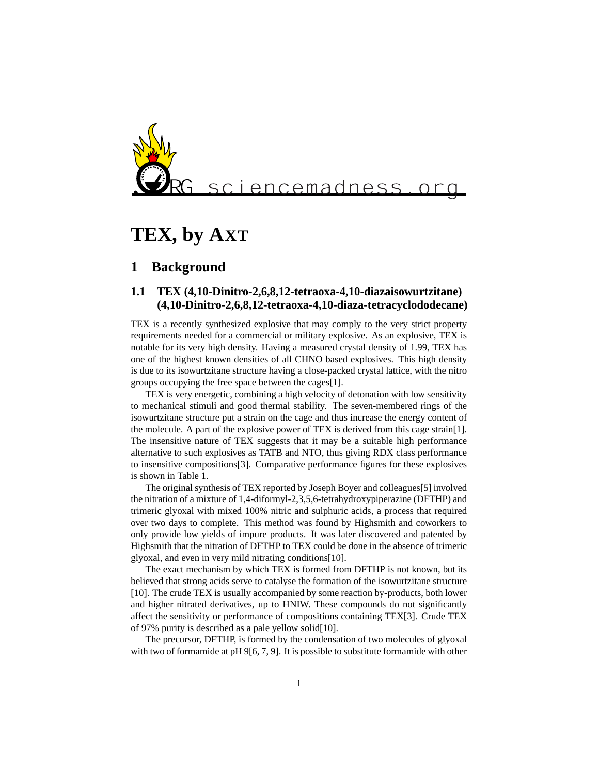

# **TEX, by AXT**

### **1 Background**

#### **1.1 TEX (4,10-Dinitro-2,6,8,12-tetraoxa-4,10-diazaisowurtzitane) (4,10-Dinitro-2,6,8,12-tetraoxa-4,10-diaza-tetracyclododecane)**

TEX is a recently synthesized explosive that may comply to the very strict property requirements needed for a commercial or military explosive. As an explosive, TEX is notable for its very high density. Having a measured crystal density of 1.99, TEX has one of the highest known densities of all CHNO based explosives. This high density is due to its isowurtzitane structure having a close-packed crystal lattice, with the nitro groups occupying the free space between the cages[1].

TEX is very energetic, combining a high velocity of detonation with low sensitivity to mechanical stimuli and good thermal stability. The seven-membered rings of the isowurtzitane structure put a strain on the cage and thus increase the energy content of the molecule. A part of the explosive power of TEX is derived from this cage strain[1]. The insensitive nature of TEX suggests that it may be a suitable high performance alternative to such explosives as TATB and NTO, thus giving RDX class performance to insensitive compositions[3]. Comparative performance figures for these explosives is shown in Table 1.

The original synthesis of TEX reported by Joseph Boyer and colleagues[5] involved the nitration of a mixture of 1,4-diformyl-2,3,5,6-tetrahydroxypiperazine (DFTHP) and trimeric glyoxal with mixed 100% nitric and sulphuric acids, a process that required over two days to complete. This method was found by Highsmith and coworkers to only provide low yields of impure products. It was later discovered and patented by Highsmith that the nitration of DFTHP to TEX could be done in the absence of trimeric glyoxal, and even in very mild nitrating conditions[10].

The exact mechanism by which TEX is formed from DFTHP is not known, but its believed that strong acids serve to catalyse the formation of the isowurtzitane structure [10]. The crude TEX is usually accompanied by some reaction by-products, both lower and higher nitrated derivatives, up to HNIW. These compounds do not significantly affect the sensitivity or performance of compositions containing TEX[3]. Crude TEX of 97% purity is described as a pale yellow solid[10].

The precursor, DFTHP, is formed by the condensation of two molecules of glyoxal with two of formamide at pH 9[6, 7, 9]. It is possible to substitute formamide with other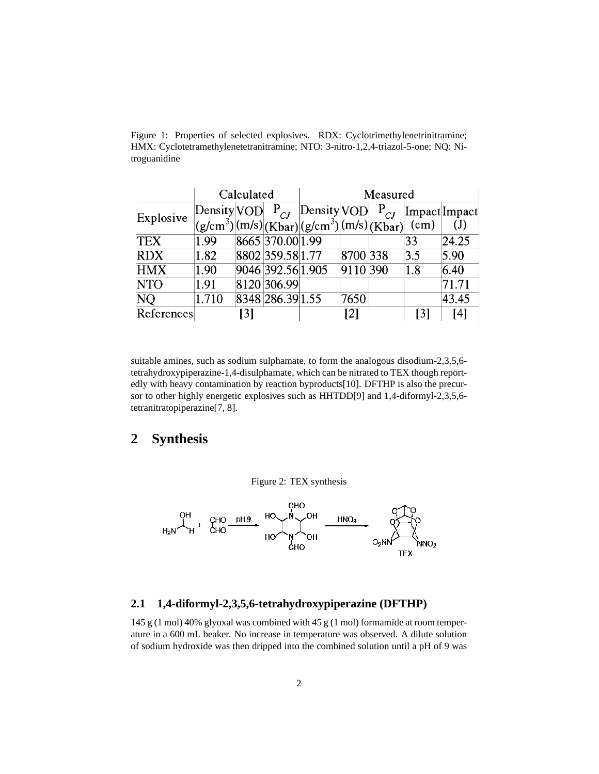|            | Calculated                                                                                                              |     |                   | Measured                                                      |          |  |                   |       |
|------------|-------------------------------------------------------------------------------------------------------------------------|-----|-------------------|---------------------------------------------------------------|----------|--|-------------------|-------|
| Explosive  | $\begin{array}{ l c c c c c c c c }\n\hline \text{Density} & \text{P}_{CJ} & \text{Impact} & \text{Impact} \end{array}$ |     |                   |                                                               |          |  |                   |       |
|            |                                                                                                                         |     |                   | $(g/cm^{3})$ $(m/s)$ $(Kbar)(g/cm^{3})$ $(m/s)$ $(Kbar)$ (cm) |          |  |                   |       |
| <b>TEX</b> | 1.99                                                                                                                    |     | 8665 370.00 1.99  |                                                               |          |  | 33                | 24.25 |
| <b>RDX</b> | 1.82                                                                                                                    |     | 8802 359.58 1.77  |                                                               | 8700 338 |  | 3.5               | 5.90  |
| <b>HMX</b> | 1.90                                                                                                                    |     | 9046 392.56 1.905 |                                                               | 9110 390 |  | 1.8               | 6.40  |
| <b>NTO</b> | 1.91                                                                                                                    |     | 8120 306.99       |                                                               |          |  |                   | 71.71 |
| <b>NQ</b>  | 1.710                                                                                                                   |     | 8348 286.39 1.55  |                                                               | 7650     |  |                   | 43.45 |
| References |                                                                                                                         | [3] |                   |                                                               | [2]      |  | $\lceil 3 \rceil$ | [4]   |

Figure 1: Properties of selected explosives. RDX: Cyclotrimethylenetrinitramine; HMX: Cyclotetramethylenetetranitramine; NTO: 3-nitro-1,2,4-triazol-5-one; NQ: Nitroguanidine

suitable amines, such as sodium sulphamate, to form the analogous disodium-2,3,5,6 tetrahydroxypiperazine-1,4-disulphamate, which can be nitrated to TEX though reportedly with heavy contamination by reaction byproducts[10]. DFTHP is also the precursor to other highly energetic explosives such as HHTDD[9] and 1,4-diformyl-2,3,5,6 tetranitratopiperazine[7, 8].

## **2 Synthesis**





#### **2.1 1,4-diformyl-2,3,5,6-tetrahydroxypiperazine (DFTHP)**

145 g (1 mol) 40% glyoxal was combined with 45 g (1 mol) formamide at room temperature in a 600 mL beaker. No increase in temperature was observed. A dilute solution of sodium hydroxide was then dripped into the combined solution until a pH of 9 was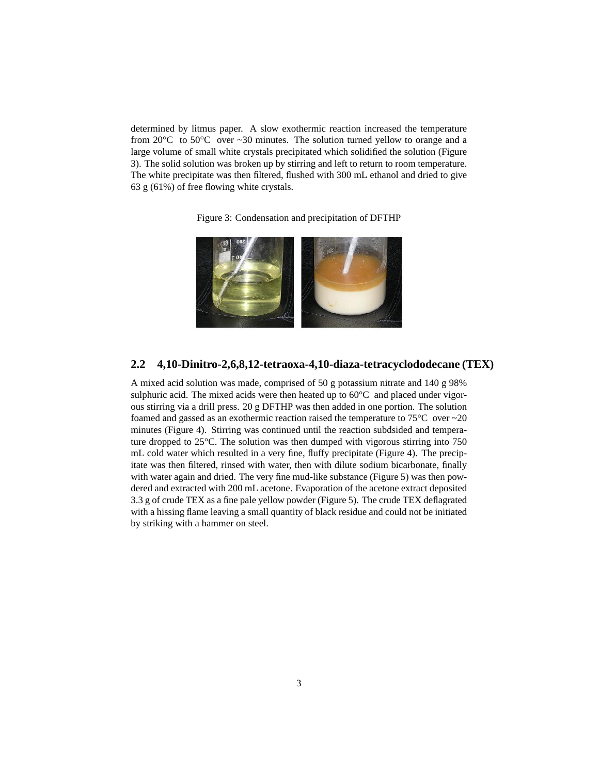determined by litmus paper. A slow exothermic reaction increased the temperature from 20°C to 50°C over ~30 minutes. The solution turned yellow to orange and a large volume of small white crystals precipitated which solidified the solution (Figure 3). The solid solution was broken up by stirring and left to return to room temperature. The white precipitate was then filtered, flushed with 300 mL ethanol and dried to give 63 g (61%) of free flowing white crystals.

Figure 3: Condensation and precipitation of DFTHP



#### **2.2 4,10-Dinitro-2,6,8,12-tetraoxa-4,10-diaza-tetracyclododecane (TEX)**

A mixed acid solution was made, comprised of 50 g potassium nitrate and 140 g 98% sulphuric acid. The mixed acids were then heated up to 60°C and placed under vigorous stirring via a drill press. 20 g DFTHP was then added in one portion. The solution foamed and gassed as an exothermic reaction raised the temperature to 75°C over ~20 minutes (Figure 4). Stirring was continued until the reaction subdsided and temperature dropped to 25°C. The solution was then dumped with vigorous stirring into 750 mL cold water which resulted in a very fine, fluffy precipitate (Figure 4). The precipitate was then filtered, rinsed with water, then with dilute sodium bicarbonate, finally with water again and dried. The very fine mud-like substance (Figure 5) was then powdered and extracted with 200 mL acetone. Evaporation of the acetone extract deposited 3.3 g of crude TEX as a fine pale yellow powder (Figure 5). The crude TEX deflagrated with a hissing flame leaving a small quantity of black residue and could not be initiated by striking with a hammer on steel.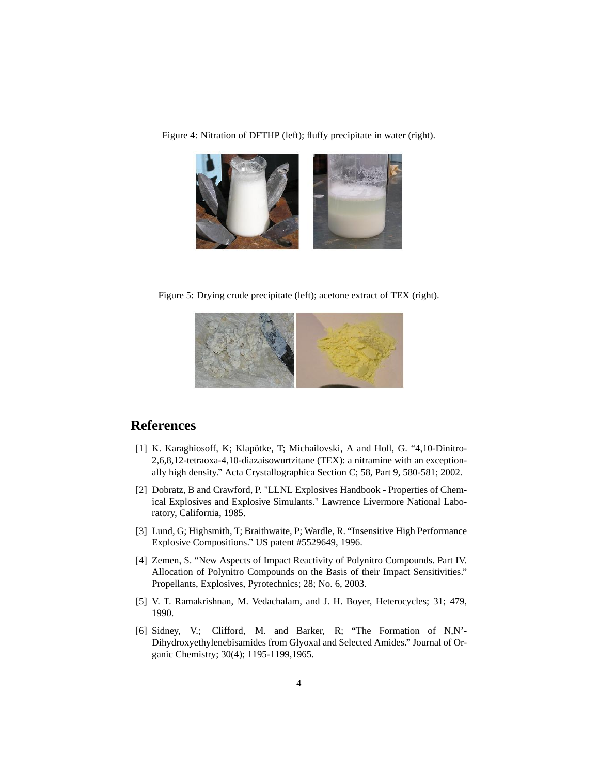Figure 4: Nitration of DFTHP (left); fluffy precipitate in water (right).



Figure 5: Drying crude precipitate (left); acetone extract of TEX (right).



## **References**

- [1] K. Karaghiosoff, K; Klapötke, T; Michailovski, A and Holl, G. "4,10-Dinitro-2,6,8,12-tetraoxa-4,10-diazaisowurtzitane (TEX): a nitramine with an exceptionally high density." Acta Crystallographica Section C; 58, Part 9, 580-581; 2002.
- [2] Dobratz, B and Crawford, P. "LLNL Explosives Handbook Properties of Chemical Explosives and Explosive Simulants." Lawrence Livermore National Laboratory, California, 1985.
- [3] Lund, G; Highsmith, T; Braithwaite, P; Wardle, R. "Insensitive High Performance Explosive Compositions." US patent #5529649, 1996.
- [4] Zemen, S. "New Aspects of Impact Reactivity of Polynitro Compounds. Part IV. Allocation of Polynitro Compounds on the Basis of their Impact Sensitivities." Propellants, Explosives, Pyrotechnics; 28; No. 6, 2003.
- [5] V. T. Ramakrishnan, M. Vedachalam, and J. H. Boyer, Heterocycles; 31; 479, 1990.
- [6] Sidney, V.; Clifford, M. and Barker, R; "The Formation of N,N'- Dihydroxyethylenebisamides from Glyoxal and Selected Amides." Journal of Organic Chemistry; 30(4); 1195-1199,1965.